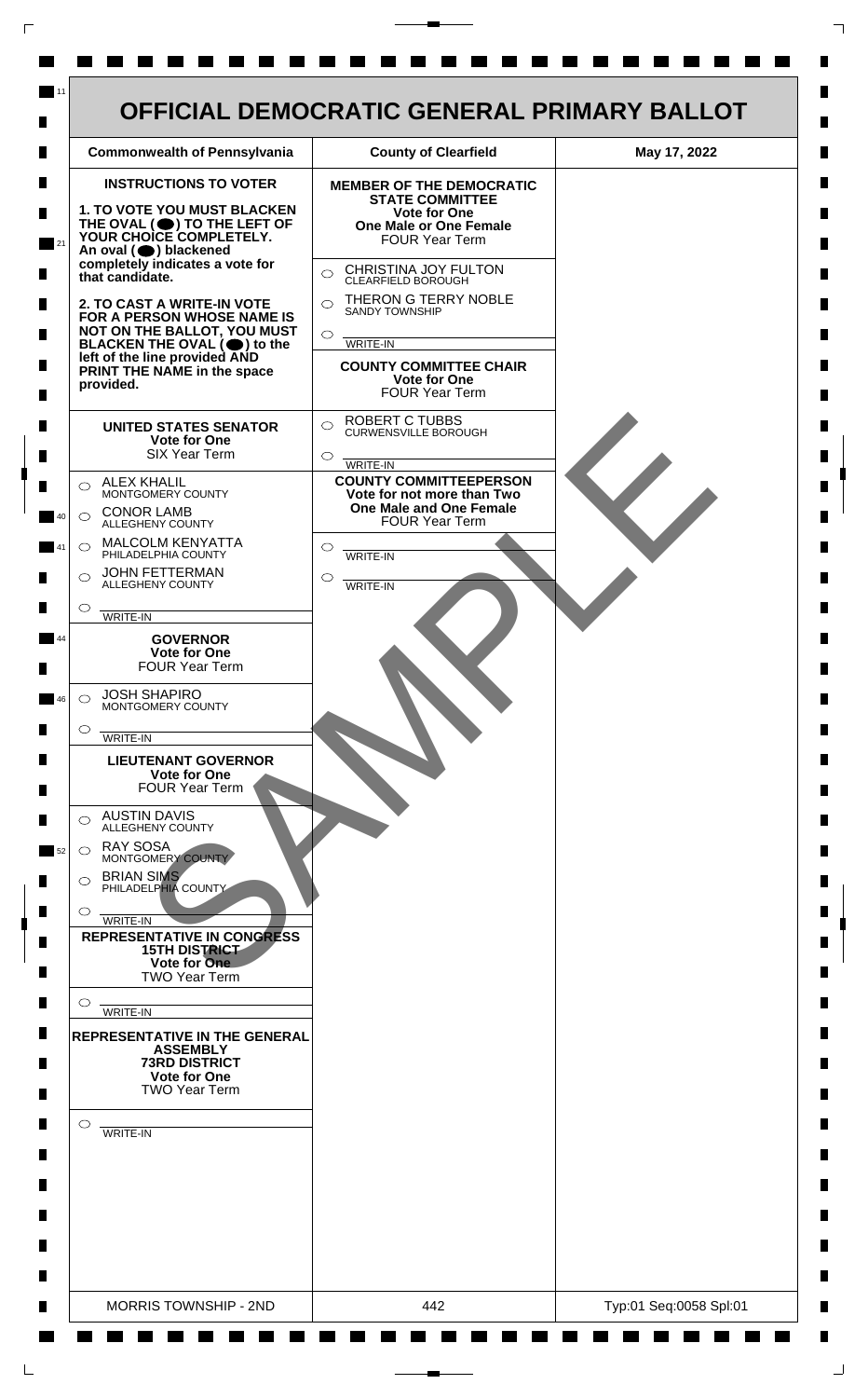

 $\mathsf{L}$